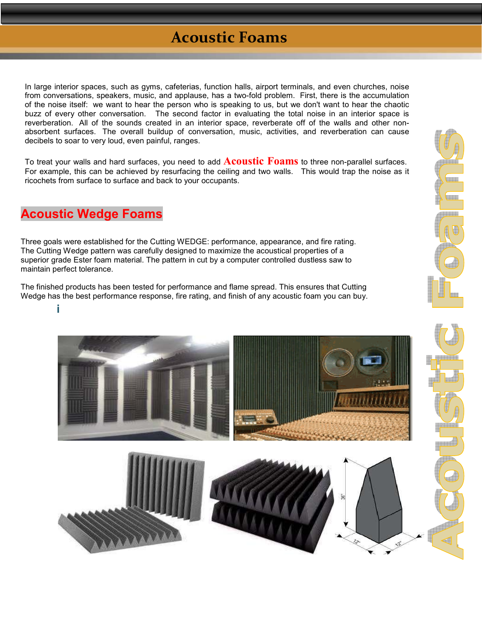## **Acoustic Foams**

In large interior spaces, such as gyms, cafeterias, function halls, airport terminals, and even churches, noise from conversations, speakers, music, and applause, has a two-fold problem. First, there is the accumulation of the noise itself: we want to hear the person who is speaking to us, but we don't want to hear the chaotic buzz of every other conversation. The second factor in evaluating the total noise in an interior space is reverberation. All of the sounds created in an interior space, reverberate off of the walls and other nonabsorbent surfaces. The overall buildup of conversation, music, activities, and reverberation can cause decibels to soar to very loud, even painful, ranges.

To treat your walls and hard surfaces, you need to add **Acoustic Foams** to three non-parallel surfaces. For example, this can be achieved by resurfacing the ceiling and two walls. This would trap the noise as it ricochets from surface to surface and back to your occupants.

## **Acoustic Wedge Foams**

**i**

Three goals were established for the Cutting WEDGE: performance, appearance, and fire rating. The Cutting Wedge pattern was carefully designed to maximize the acoustical properties of a superior grade Ester foam material. The pattern in cut by a computer controlled dustless saw to maintain perfect tolerance.

The finished products has been tested for performance and flame spread. This ensures that Cutting Wedge has the best performance response, fire rating, and finish of any acoustic foam you can buy.



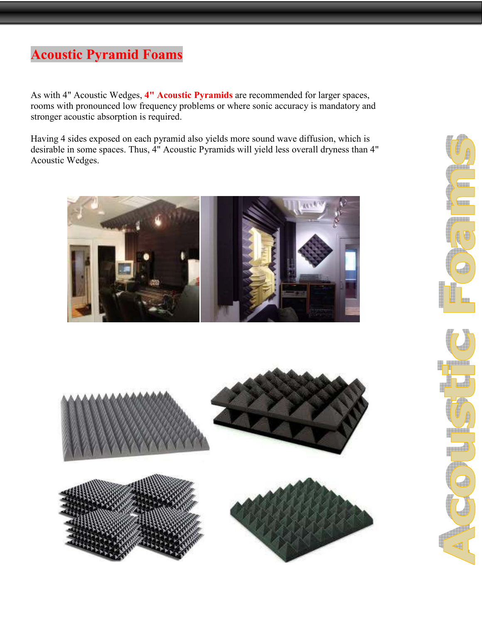## **Acoustic Pyramid Foams**

As with 4" Acoustic Wedges, **4" Acoustic Pyramids** are recommended for larger spaces, rooms with pronounced low frequency problems or where sonic accuracy is mandatory and stronger acoustic absorption is required.

Having 4 sides exposed on each pyramid also yields more sound wave diffusion, which is desirable in some spaces. Thus, 4" Acoustic Pyramids will yield less overall dryness than 4" Acoustic Wedges.